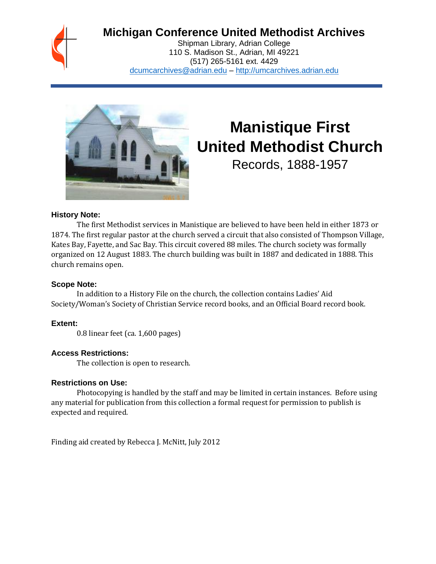## **Michigan Conference United Methodist Archives**

Shipman Library, Adrian College 110 S. Madison St., Adrian, MI 49221 (517) 265-5161 ext. 4429 [dcumcarchives@adrian.edu](mailto:dcumcarchives@adrian.edu) – [http://umcarchives.adrian.edu](http://umcarchives.adrian.edu/)



# **Manistique First United Methodist Church**

Records, 1888-1957

#### **History Note:**

The first Methodist services in Manistique are believed to have been held in either 1873 or 1874. The first regular pastor at the church served a circuit that also consisted of Thompson Village, Kates Bay, Fayette, and Sac Bay. This circuit covered 88 miles. The church society was formally organized on 12 August 1883. The church building was built in 1887 and dedicated in 1888. This church remains open.

#### **Scope Note:**

In addition to a History File on the church, the collection contains Ladies' Aid Society/Woman's Society of Christian Service record books, and an Official Board record book.

#### **Extent:**

0.8 linear feet (ca. 1,600 pages)

#### **Access Restrictions:**

The collection is open to research.

#### **Restrictions on Use:**

Photocopying is handled by the staff and may be limited in certain instances. Before using any material for publication from this collection a formal request for permission to publish is expected and required.

Finding aid created by Rebecca J. McNitt, July 2012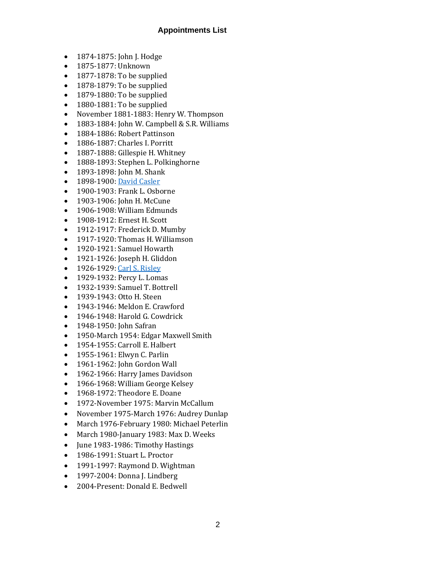#### **Appointments List**

- 1874-1875: John J. Hodge
- 1875-1877: Unknown
- 1877-1878: To be supplied
- 1878-1879: To be supplied
- 1879-1880: To be supplied
- 1880-1881: To be supplied
- November 1881-1883: Henry W. Thompson
- 1883-1884: John W. Campbell & S.R. Williams
- 1884-1886: Robert Pattinson
- 1886-1887: Charles I. Porritt
- 1887-1888: Gillespie H. Whitney
- 1888-1893: Stephen L. Polkinghorne
- 1893-1898: John M. Shank
- 1898-1900[: David Casler](http://umcarchives.adrian.edu/clergy/caslerd.php)
- 1900-1903: Frank L. Osborne
- 1903-1906: John H. McCune
- 1906-1908: William Edmunds
- 1908-1912: Ernest H. Scott
- 1912-1917: Frederick D. Mumby
- 1917-1920: Thomas H. Williamson
- 1920-1921: Samuel Howarth
- 1921-1926: Joseph H. Gliddon
- 1926-1929[: Carl S. Risley](http://umcarchives.adrian.edu/clergy/risleycs.php)
- 1929-1932: Percy L. Lomas
- 1932-1939: Samuel T. Bottrell
- 1939-1943: Otto H. Steen
- 1943-1946: Meldon E. Crawford
- 1946-1948: Harold G. Cowdrick
- 1948-1950: John Safran
- 1950-March 1954: Edgar Maxwell Smith
- 1954-1955: Carroll E. Halbert
- 1955-1961: Elwyn C. Parlin
- 1961-1962: John Gordon Wall
- 1962-1966: Harry James Davidson
- 1966-1968: William George Kelsey
- 1968-1972: Theodore E. Doane
- 1972-November 1975: Marvin McCallum
- November 1975-March 1976: Audrey Dunlap
- March 1976-February 1980: Michael Peterlin
- March 1980-January 1983: Max D. Weeks
- June 1983-1986: Timothy Hastings
- 1986-1991: Stuart L. Proctor
- 1991-1997: Raymond D. Wightman
- 1997-2004: Donna J. Lindberg
- 2004-Present: Donald E. Bedwell